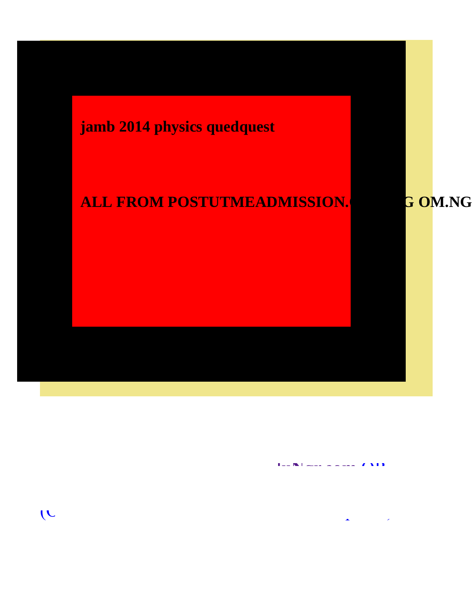

**y y y y with \mathbf{A} = \mathbf{A} \mathbf{A} + \mathbf{A} \mathbf{A} + \mathbf{A} \mathbf{A} + \mathbf{A} \mathbf{A} + \mathbf{A} \mathbf{A} + \mathbf{A} \mathbf{A} + \mathbf{A} \mathbf{A} + \mathbf{A} \mathbf{A} + \mathbf{A} \mathbf{A} + \mathbf{A} \mathbf{A} + \mathbf{A} \mathbf{A} + \mathbf{A} \mathbf{A} + \mathbf{A} \mathbf{A} + \mathbf{A} \mathbf{A} + \mathbf{A} \mathbf{** 

 $\overline{C}$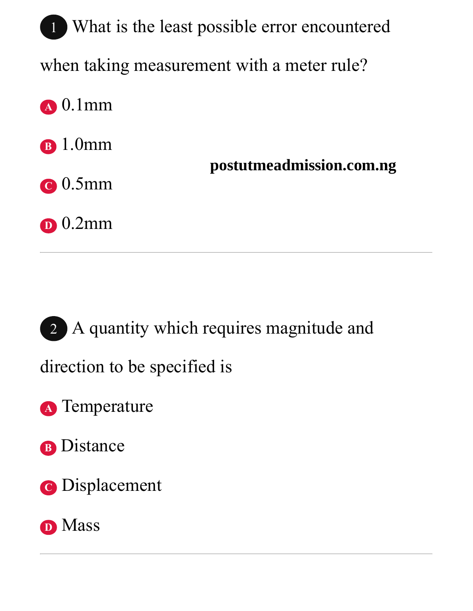1 What is the least possible error encountered when taking measurement with a meter rule? **<sup>A</sup>** 0.1mm **<sup>B</sup>** 1.0mm **<sup>C</sup>** 0.5mm **<sup>D</sup>** 0.2mm **postutmeadmission.com.ng**

2 A quantity which requires magnitude and

direction to be specified is

**<sup>A</sup>** Temperature

**<sup>B</sup>** Distance

**<sup>C</sup>** Displacement

#### **<sup>D</sup>** Mass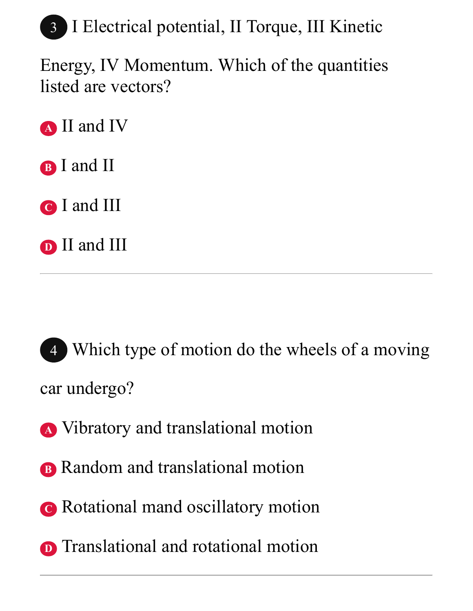

Energy, IV Momentum. Which of the quantities listed are vectors?

**<sup>A</sup>** II and IV

**<sup>B</sup>** I and II

**<sup>C</sup>** I and III

**<sup>D</sup>** II and III

4 Which type of motion do the wheels of a moving car undergo?

- **<sup>A</sup>** Vibratory and translational motion
- **B** Random and translational motion
- **<sup>C</sup>** Rotational mand oscillatory motion
- **D** Translational and rotational motion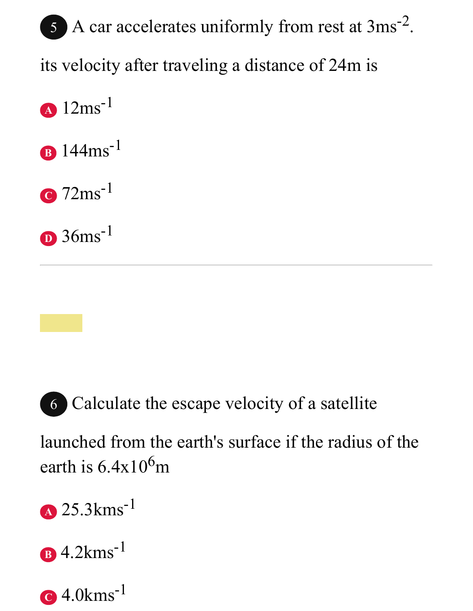# 5 A car accelerates uniformly from rest at 3ms<sup>-2</sup>. its velocity after traveling a distance of 24m is **<sup>A</sup>** 12ms-1

- **<sup>B</sup>** 144ms-1
- **<sup>C</sup>** 72ms-1

**<sup>D</sup>** 36ms-1



6 Calculate the escape velocity of a satellite

launched from the earth's surface if the radius of the earth is  $6.4x10^6$ m

- **<sup>A</sup>** 25.3kms-1
- **<sup>B</sup>** 4.2kms-1
- **C** 4.0kms-1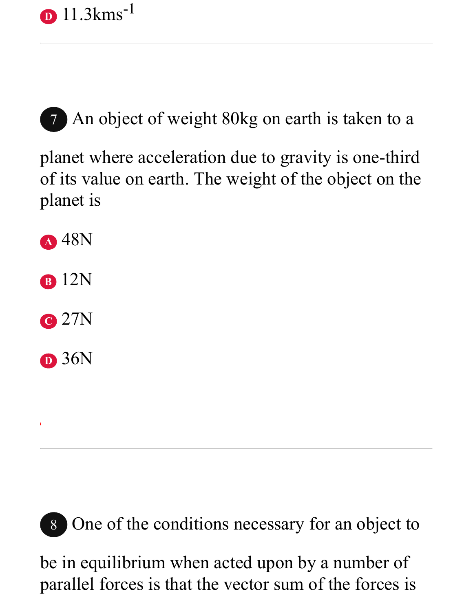

7 An object of weight 80kg on earth is taken to a

planet where acceleration due to gravity is one-third of its value on earth. The weight of the object on the planet is



- **<sup>C</sup>** 27N
- **<sup>D</sup>** 36N



8 One of the conditions necessary for an object to

be in equilibrium when acted upon by a number of parallel forces is that the vector sum of the forces is

*school news, past questions, and more...*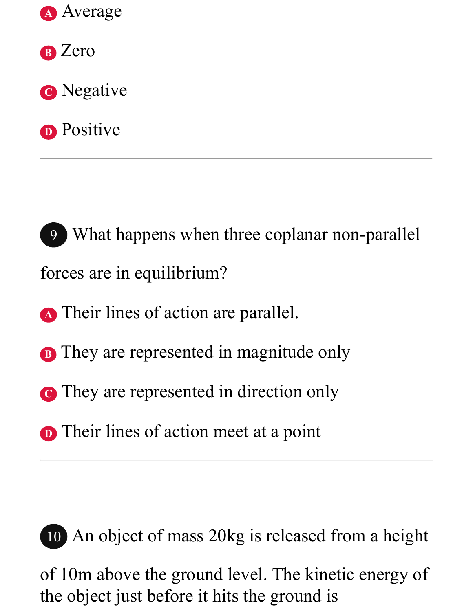

**<sup>B</sup>** Zero

**<sup>C</sup>** Negative

**D** Positive

9 What happens when three coplanar non-parallel forces are in equilibrium?

**<sup>A</sup>** Their lines of action are parallel.

- **B** They are represented in magnitude only
- **C** They are represented in direction only
- **D** Their lines of action meet at a point



10 An object of mass 20kg is released from a height

of 10m above the ground level. The kinetic energy of the object just before it hits the ground is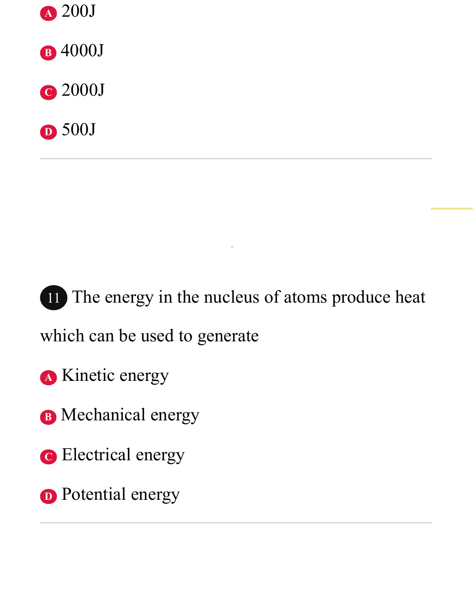

**<sup>B</sup>** 4000J

**<sup>C</sup>** 2000J





which can be used to generate

- **<sup>A</sup>** Kinetic energy
- **<sup>B</sup>** Mechanical energy
- **<sup>C</sup>** Electrical energy
- **D** Potential energy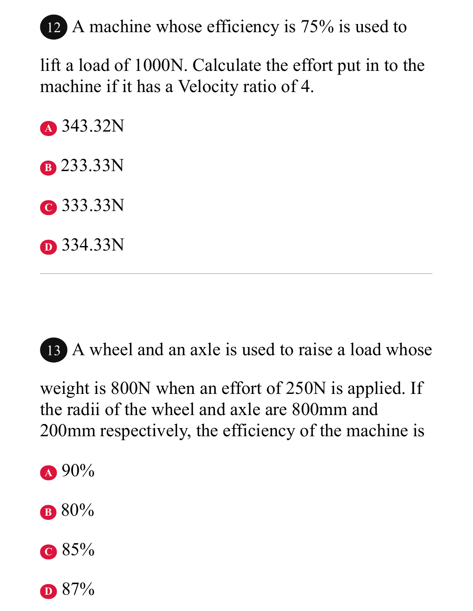## 12 A machine whose efficiency is 75% is used to

lift a load of 1000N. Calculate the effort put in to the machine if it has a Velocity ratio of 4.

**<sup>A</sup>** 343.32N **<sup>B</sup>** 233.33N **<sup>C</sup>** 333.33N **<sup>D</sup>** 334.33N

13 A wheel and an axle is used to raise a load whose

weight is 800N when an effort of 250N is applied. If the radii of the wheel and axle are 800mm and 200mm respectively, the efficiency of the machine is

- **<sup>A</sup>** 90%
- **<sup>B</sup>** 80%
- **<sup>C</sup>** 85%
- **D** 87%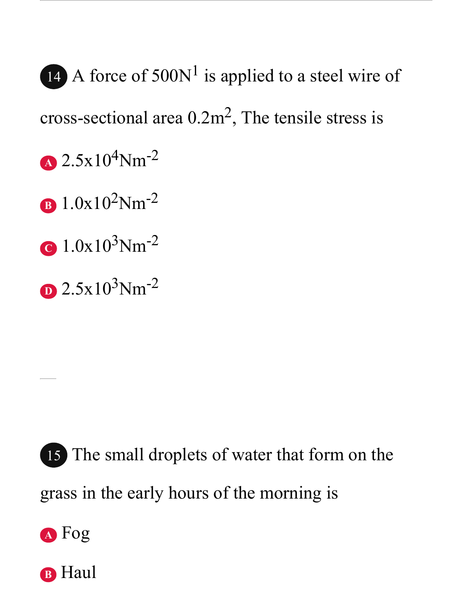14 A force of  $500N<sup>1</sup>$  is applied to a steel wire of cross-sectional area  $0.2 \text{m}^2$ , The tensile stress is  $\Delta$  2.5x10<sup>4</sup>Nm<sup>-2</sup> **<sup>B</sup>** 1.0x102Nm-2 **<sup>C</sup>** 1.0x103Nm-2  $D$  2.5x10<sup>3</sup>Nm<sup>-2</sup>

15 The small droplets of water that form on the grass in the early hours of the morning is



**B** Haul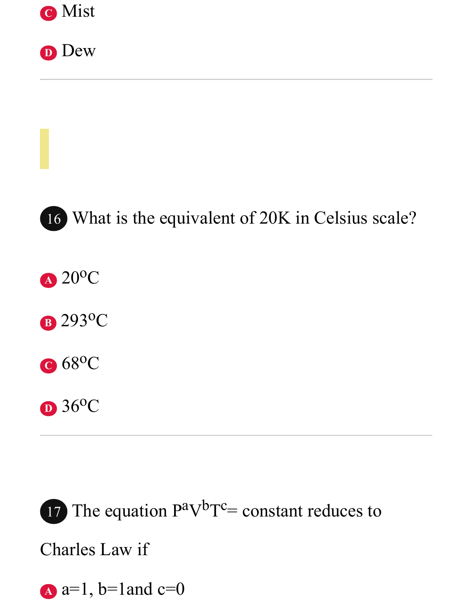





16 What is the equivalent of 20K in Celsius scale?

**<sup>A</sup>** 20oC

**<sup>B</sup>** 293oC



**<sup>D</sup>** 36oC

17 The equation  $P^{\text{av}}P^{\text{c}}$  constant reduces to Charles Law if  $A$  a=1, b=1 and c=0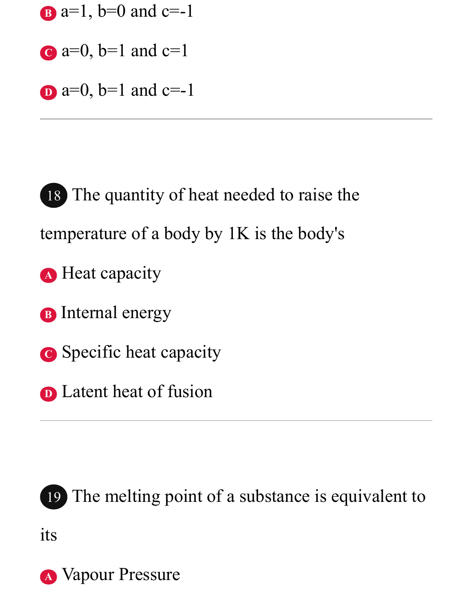- **B** a=1, b=0 and c=-1
- $c$  a=0, b=1 and  $c=1$
- $\bf{D}$  a=0, b=1 and c=-1

18 The quantity of heat needed to raise the temperature of a body by 1K is the body's **<sup>A</sup>** Heat capacity **<sup>B</sup>** Internal energy

- **<sup>C</sup>** Specific heat capacity
- **D** Latent heat of fusion



19 The melting point of a substance is equivalent to

its

**A** Vapour Pressure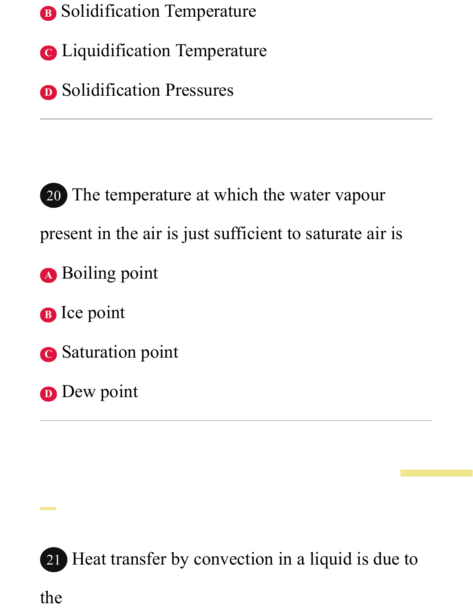- **<sup>B</sup>** Solidification Temperature
- **<sup>C</sup>** Liquidification Temperature
- **D** Solidification Pressures

20 The temperature at which the water vapour present in the air is just sufficient to saturate air is **<sup>A</sup>** Boiling point **<sup>B</sup>** Ice point **<sup>C</sup>** Saturation point

**D** Dew point



21 Heat transfer by convection in a liquid is due to

the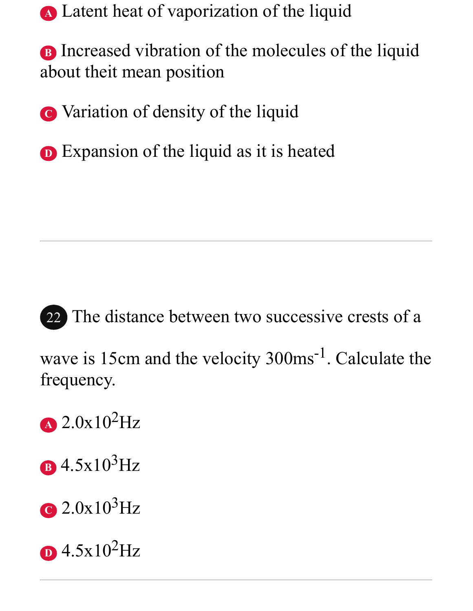**<sup>A</sup>** Latent heat of vaporization of the liquid

**B** Increased vibration of the molecules of the liquid about theit mean position

**<sup>C</sup>** Variation of density of the liquid

**D** Expansion of the liquid as it is heated



22 The distance between two successive crests of a

wave is 15cm and the velocity 300ms<sup>-1</sup>. Calculate the frequency.

**<sup>A</sup>** 2.0x102Hz

**<sup>B</sup>** 4.5x103Hz

**<sup>C</sup>** 2.0x103Hz

**D** 4.5x102Hz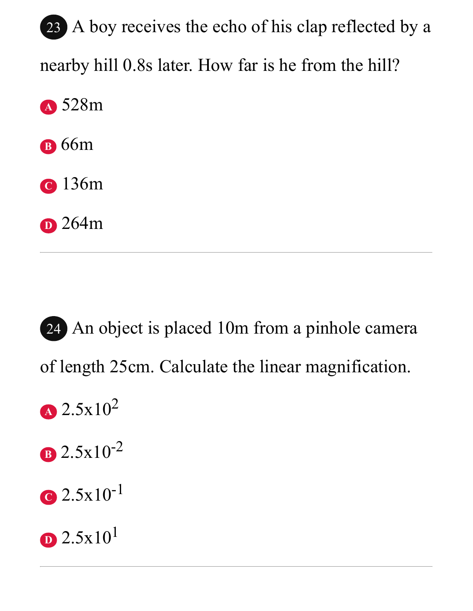23 A boy receives the echo of his clap reflected by a nearby hill 0.8s later. How far is he from the hill? **<sup>A</sup>** 528m **<sup>B</sup>** 66m **<sup>C</sup>** 136m **<sup>D</sup>** 264m

24 An object is placed 10m from a pinhole camera of length 25cm. Calculate the linear magnification.

- **<sup>A</sup>** 2.5x10<sup>2</sup>
- **<sup>B</sup>** 2.5x10-2
- **<sup>C</sup>** 2.5x10-1
- **D** 2.5x10<sup>1</sup>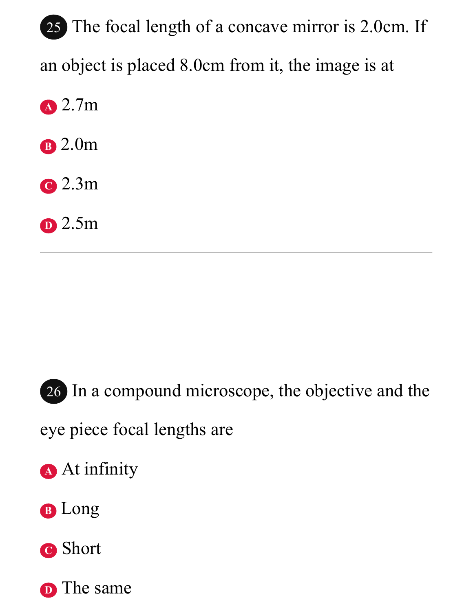25 The focal length of a concave mirror is 2.0cm. If an object is placed 8.0cm from it, the image is at **<sup>A</sup>** 2.7m **<sup>B</sup>** 2.0m

- **<sup>C</sup>** 2.3m
- **<sup>D</sup>** 2.5m



26 In a compound microscope, the objective and the

eye piece focal lengths are

- **<sup>A</sup>** At infinity
- **<sup>B</sup>** Long
- **<sup>C</sup>** Short

**D** The same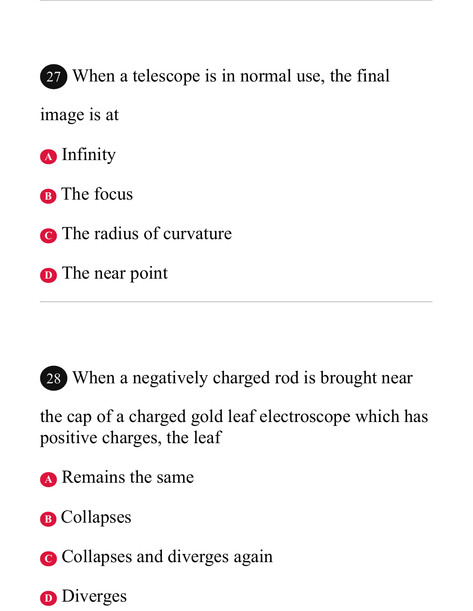27 When a telescope is in normal use, the final

image is at

- **<sup>A</sup>** Infinity
- **<sup>B</sup>** The focus
- **<sup>C</sup>** The radius of curvature
- **D** The near point



28 When a negatively charged rod is brought near

the cap of a charged gold leaf electroscope which has positive charges, the leaf

- **<sup>A</sup>** Remains the same
- **<sup>B</sup>** Collapses
- **C** Collapses and diverges again

**D** Diverges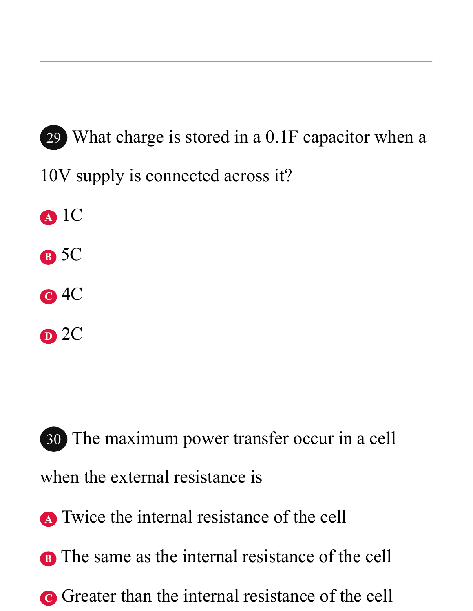29 What charge is stored in a 0.1F capacitor when a 10V supply is connected across it?



- **<sup>B</sup>** 5C
- **<sup>C</sup>** 4C
- **<sup>D</sup>** 2C

30 The maximum power transfer occur in a cell when the external resistance is

- **<sup>A</sup>** Twice the internal resistance of the cell
- **B** The same as the internal resistance of the cell
- **C** Greater than the internal resistance of the cell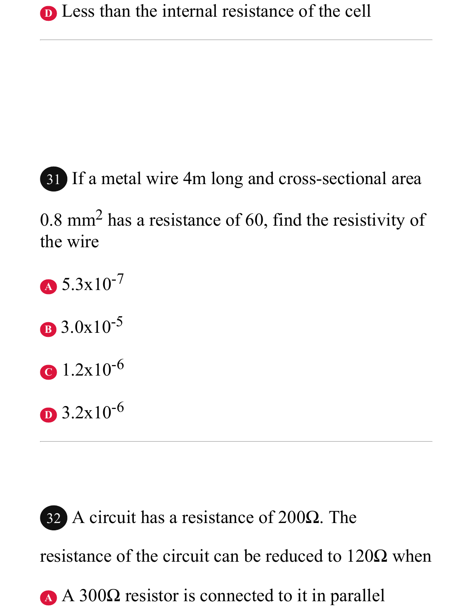

0.8 mm<sup>2</sup> has a resistance of 60, find the resistivity of the wire



**<sup>C</sup>** 1.2x10-6

**<sup>D</sup>** 3.2x10-6

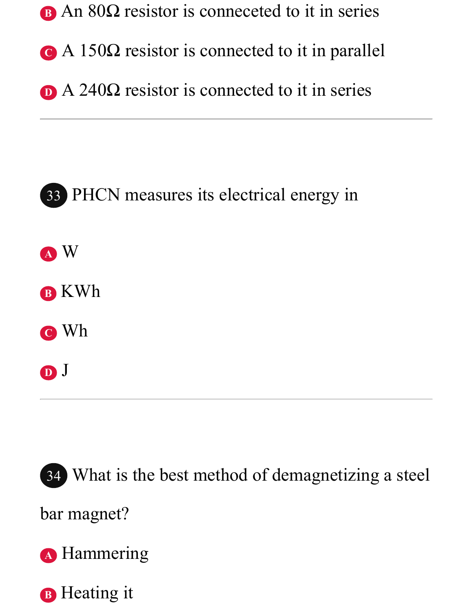

- **<sup>C</sup>** A 150Ω resistor is connected to it in parallel
- D A 240Ω resistor is connected to it in series





bar magnet?

**<sup>A</sup>** Hammering

**B** Heating it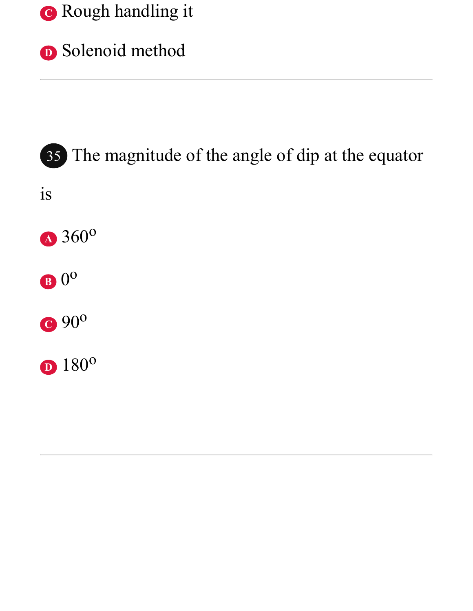



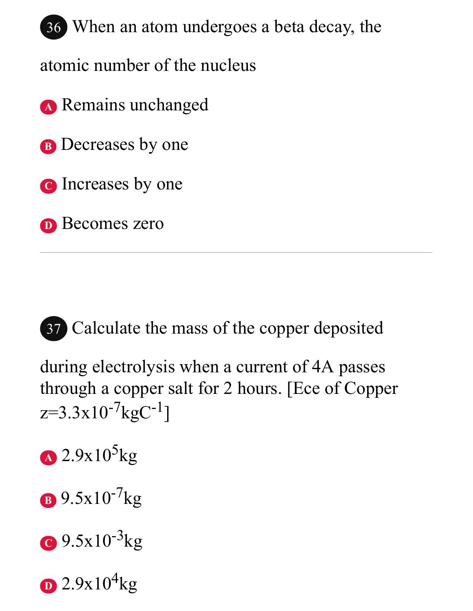

atomic number of the nucleus

- **<sup>A</sup>** Remains unchanged
- **B** Decreases by one
- **<sup>C</sup>** Increases by one
- **<sup>D</sup>** Becomes zero

37 Calculate the mass of the copper deposited

during electrolysis when a current of 4A passes through a copper salt for 2 hours. [Ece of Copper  $z=3.3x10^{-7}kgC^{-1}$ ]

- $A$  2.9x10<sup>5</sup>kg
- **<sup>B</sup>** 9.5x10-7kg
- **C** 9.5x10<sup>-3</sup>kg
- $\sum 2.9x10^4$ kg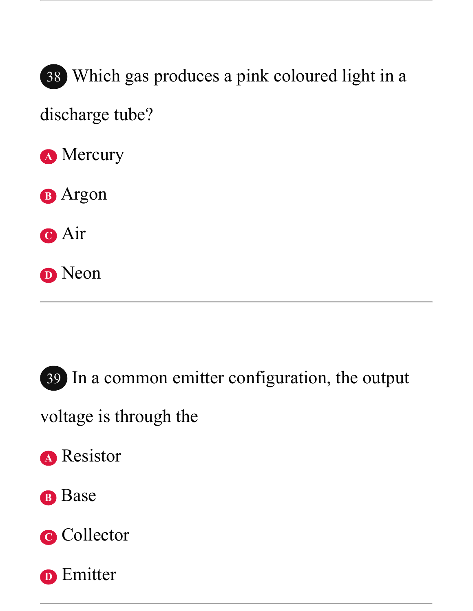

38 Which gas produces a pink coloured light in a

discharge tube?

**<sup>A</sup>** Mercury

**<sup>B</sup>** Argon

**<sup>C</sup>** Air

**<sup>D</sup>** Neon



39 In a common emitter configuration, the output

voltage is through the

**<sup>A</sup>** Resistor

#### **<sup>B</sup>** Base

**<sup>C</sup>** Collector

**D** Emitter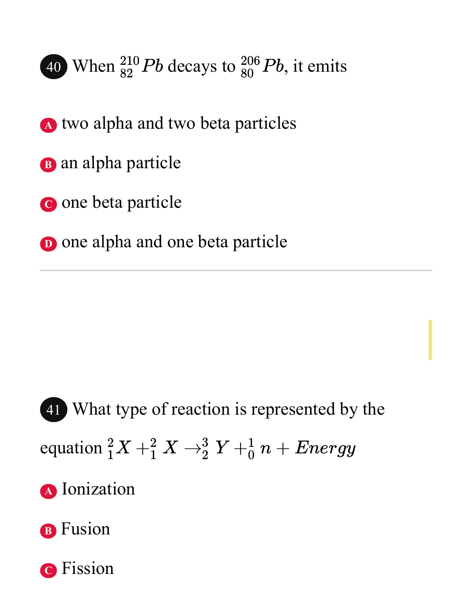

- **<sup>A</sup>** two alpha and two beta particles
- **<sup>B</sup>** an alpha particle
- **<sup>C</sup>** one beta particle
- **D** one alpha and one beta particle

41 What type of reaction is represented by the equation  ${}_{1}^{2}X + {}_{1}^{2}X \rightarrow {}_{2}^{3}Y + {}_{0}^{1}n + Energy$ **<sup>A</sup>** Ionization

**<sup>B</sup>** Fusion

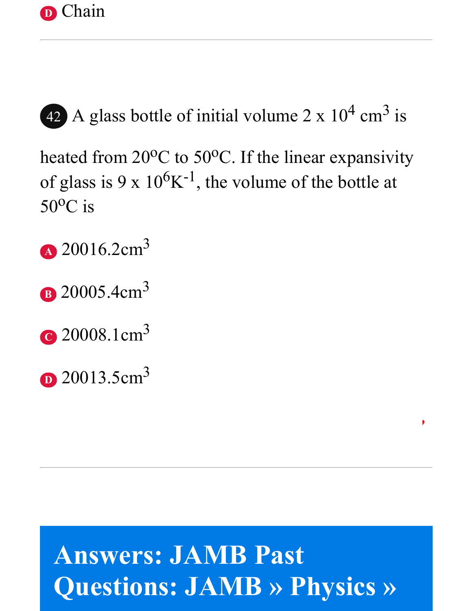



42 A glass bottle of initial volume  $2 \times 10^4$  cm<sup>3</sup> is

heated from  $20^{\circ}$ C to  $50^{\circ}$ C. If the linear expansivity of glass is 9 x  $10^6$ K<sup>-1</sup>, the volume of the bottle at  $50^{\circ}$ C is

- **<sup>A</sup>** 20016.2cm<sup>3</sup>
- **B** 20005.4cm<sup>3</sup>
- **<sup>C</sup>** 20008.1cm<sup>3</sup>
- **D** 20013.5cm<sup>3</sup>

## **Answers: JAMB Past Questions: JAMB » Physics »**

*Visit [EduNgr.com](https://edungr.com/) for FREE educational resources,*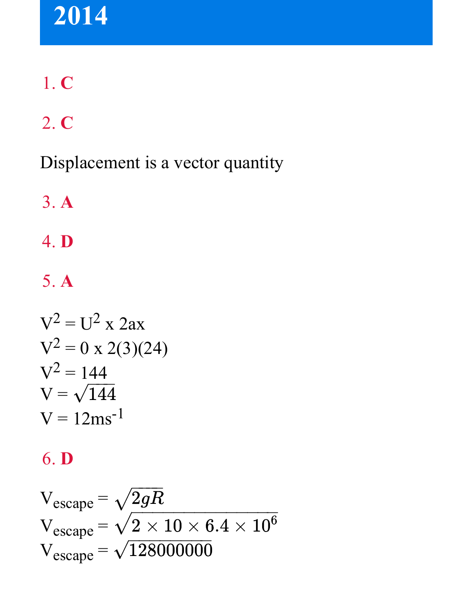## **2014**

## 1. **C**

## 2. **C**

Displacement is a vector quantity

3. **A**

4. **D**

5. **A**

$$
V2 = U2 x 2ax
$$
  

$$
V2 = 0 x 2(3)(24)
$$
  

$$
V2 = 144
$$
  

$$
V = \sqrt{144}
$$
  

$$
V = 12ms-1
$$

#### 6. **D**

$$
V_{escape} = \sqrt{2gR}
$$
  
\n
$$
V_{escape} = \sqrt{2 \times 10 \times 6.4 \times 10^6}
$$
  
\n
$$
V_{escape} = \sqrt{128000000}
$$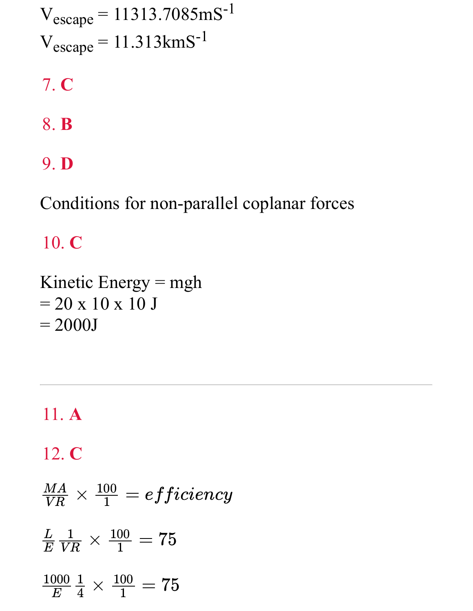$V_{\text{escape}} = 11313.7085 \text{mS}^{-1}$  $V_{\text{escape}} = 11.313 \text{km} \text{S}^{-1}$ 

7. **C**

- 8. **B**
- 9. **D**

Conditions for non-parallel coplanar forces

10. **C**

Kinetic Energy = mgh  $= 20 \times 10 \times 10 \text{ J}$  $= 2000J$ 

11. **A** 12. **C**  $\frac{MA}{VR} \times \frac{100}{1} = efficiency$  $\frac{100}{1}$  $\frac{L}{E} \frac{1}{VD} \times \frac{100}{1} = 75$  $\bm E$  $\frac{1}{VR}$  $\frac{100}{1}$  $\frac{1000}{E}\frac{1}{4}\times\frac{100}{1}=75$  $\frac{1}{4}$  $\frac{100}{1}$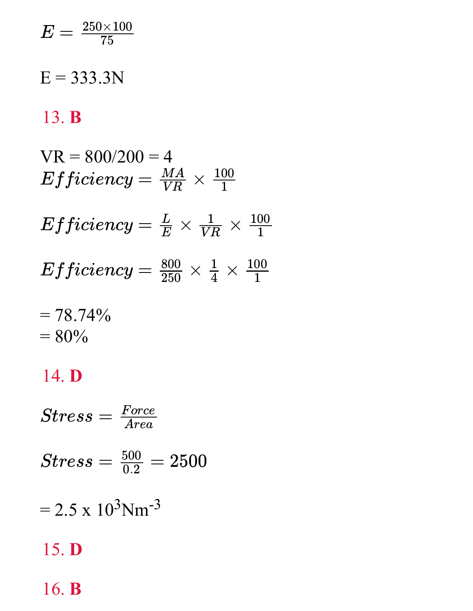$$
E=\tfrac{250\times 100}{75}
$$

#### $E = 333.3N$

#### 13. **B**

$$
VR = 800/200 = 4
$$
  
Efficiency =  $\frac{MA}{VR}$  ×  $\frac{100}{1}$   
Efficiency =  $\frac{L}{E}$  ×  $\frac{1}{VR}$  ×  $\frac{100}{1}$   
Efficiency =  $\frac{800}{250}$  ×  $\frac{1}{4}$  ×  $\frac{100}{1}$   
= 78.740/

$$
= 78.74\% \n= 80\%
$$

#### 14. **D**

 $= 2.5 \times 10^3$ Nm<sup>-3</sup> 15. **D**  $Stress = \frac{Force}{Area}$  $Area$  $Stress = \frac{500}{0.2} = 2500$ 

#### 16. **B**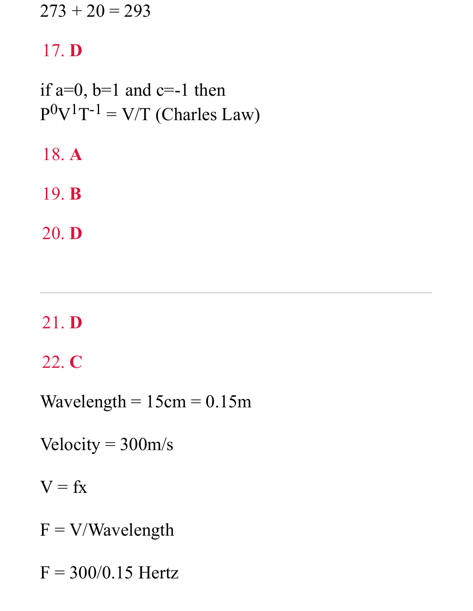$273 + 20 = 293$ 

#### 17. **D**

if  $a=0$ ,  $b=1$  and  $c=-1$  then  $P^0V^1T^{-1} = V/T$  (Charles Law)

18. **A**

19. **B**

20. **D**

## 21. **D**

22. **C**

Wavelength  $= 15$ cm  $= 0.15$ m

Velocity =  $300<sub>m/s</sub>$ 

 $V = fx$ 

 $F = V/Wa$ velength

 $F = 300/0.15$  Hertz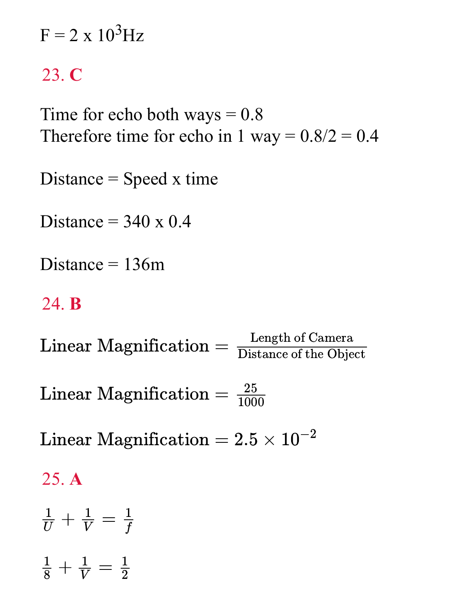$F = 2 \times 10^3$  Hz

### 23. **C**

Time for echo both ways  $= 0.8$ Therefore time for echo in 1 way =  $0.8/2 = 0.4$ 

Distance  $=$  Speed x time

Distance  $=$  340 x 0.4

Distance  $= 136$ m

#### 24. **B**

 $\text{Linear Magnification} = \frac{\text{Length of Camera}}{\text{DRT}}$ Distance of the Object

 $\text{Linear Magnification} = \frac{25}{1000}$ 

 ${\rm Linear\; Maximum} = 2.5 \times 10^{-2}$  .

#### 25. **A**

$$
\frac{1}{U} + \frac{1}{V} = \frac{1}{f}
$$
  

$$
\frac{1}{8} + \frac{1}{V} = \frac{1}{2}
$$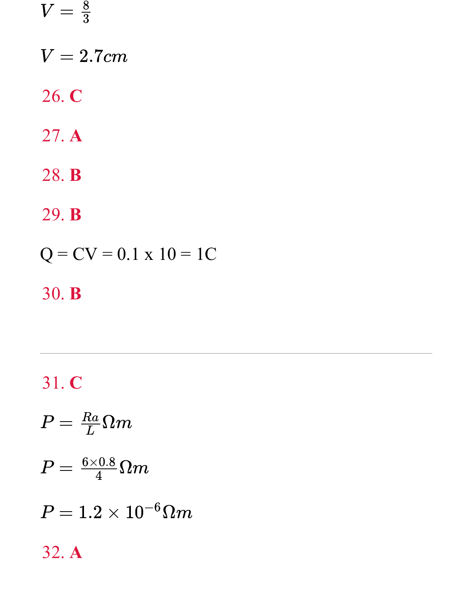$$
V=\tfrac{8}{3}
$$

 $V = 2.7cm$ 

26. **C**

- 27. **A**
- 28. **B**

29. **B**

$$
Q = CV = 0.1 \times 10 = 1C
$$

### 30. **B**

## 31. **C**

$$
P = \frac{Ra}{L} \Omega m
$$
  
\n
$$
P = \frac{6 \times 0.8}{4} \Omega m
$$
  
\n
$$
P = 1.2 \times 10^{-6} \Omega m
$$
  
\n32. A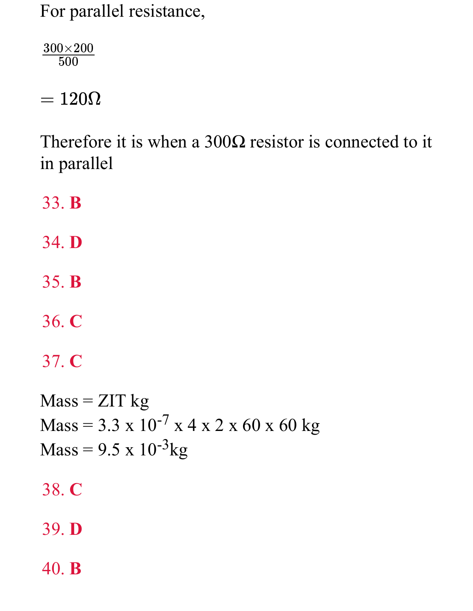For parallel resistance,

 $300\times200$ 500

 $= 120 \Omega$ 

Therefore it is when a  $300\Omega$  resistor is connected to it in parallel

33. **B**

- 34. **D**
- 35. **B**
- 36. **C**

37. **C**

 $Mass = ZIT kg$  $Mass = 3.3 \times 10^{-7} \times 4 \times 2 \times 60 \times 60 \text{ kg}$  $Mass = 9.5 \times 10^{-3}$ kg

38. **C**

39. **D**

40. **B**